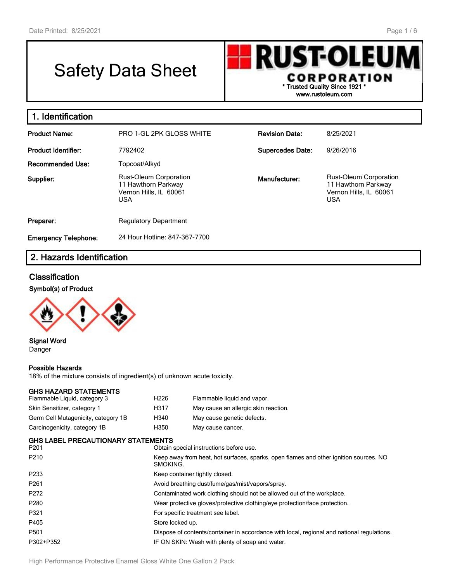г

# Safety Data Sheet

**RUST-OLEU** CORPORATION **\* Trusted Quality Since 1921 \* www.rustoleum.com**

| Identification              |                                                                                              |                         |                                                                                              |
|-----------------------------|----------------------------------------------------------------------------------------------|-------------------------|----------------------------------------------------------------------------------------------|
| <b>Product Name:</b>        | <b>PRO 1-GL 2PK GLOSS WHITE</b>                                                              | <b>Revision Date:</b>   | 8/25/2021                                                                                    |
| <b>Product Identifier:</b>  | 7792402                                                                                      | <b>Supercedes Date:</b> | 9/26/2016                                                                                    |
| <b>Recommended Use:</b>     | Topcoat/Alkyd                                                                                |                         |                                                                                              |
| Supplier:                   | <b>Rust-Oleum Corporation</b><br>11 Hawthorn Parkway<br>Vernon Hills, IL 60061<br><b>USA</b> | Manufacturer:           | <b>Rust-Oleum Corporation</b><br>11 Hawthorn Parkway<br>Vernon Hills, IL 60061<br><b>USA</b> |
| Preparer:                   | <b>Regulatory Department</b>                                                                 |                         |                                                                                              |
| <b>Emergency Telephone:</b> | 24 Hour Hotline: 847-367-7700                                                                |                         |                                                                                              |

# **2. Hazards Identification**

# **Classification**

## **Symbol(s) of Product**



**Signal Word** Danger

## **Possible Hazards**

18% of the mixture consists of ingredient(s) of unknown acute toxicity.

## **GHS HAZARD STATEMENTS**

| Flammable Liquid, category 3        | H <sub>226</sub> | Flammable liquid and vapor.          |
|-------------------------------------|------------------|--------------------------------------|
| Skin Sensitizer, category 1         | H317             | May cause an allergic skin reaction. |
| Germ Cell Mutagenicity, category 1B | H340             | May cause genetic defects.           |
| Carcinogenicity, category 1B        | H <sub>350</sub> | May cause cancer.                    |

## **GHS LABEL PRECAUTIONARY STATEMENTS**

| P201              | Obtain special instructions before use.                                                           |
|-------------------|---------------------------------------------------------------------------------------------------|
| P <sub>210</sub>  | Keep away from heat, hot surfaces, sparks, open flames and other ignition sources. NO<br>SMOKING. |
| P <sub>2</sub> 33 | Keep container tightly closed.                                                                    |
| P <sub>261</sub>  | Avoid breathing dust/fume/gas/mist/vapors/spray.                                                  |
| P272              | Contaminated work clothing should not be allowed out of the workplace.                            |
| P <sub>280</sub>  | Wear protective gloves/protective clothing/eye protection/face protection.                        |
| P321              | For specific treatment see label.                                                                 |
| P405              | Store locked up.                                                                                  |
| P <sub>501</sub>  | Dispose of contents/container in accordance with local, regional and national regulations.        |
| P302+P352         | IF ON SKIN: Wash with plenty of soap and water.                                                   |
|                   |                                                                                                   |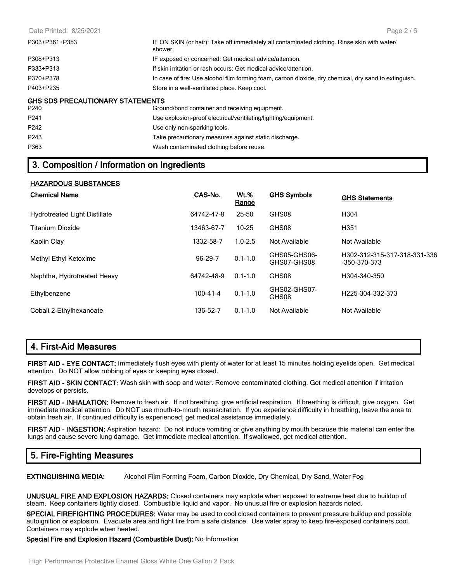| P303+P361+P353                          | IF ON SKIN (or hair): Take off immediately all contaminated clothing. Rinse skin with water/<br>shower. |
|-----------------------------------------|---------------------------------------------------------------------------------------------------------|
| P308+P313                               | IF exposed or concerned: Get medical advice/attention.                                                  |
| P333+P313                               | If skin irritation or rash occurs: Get medical advice/attention.                                        |
| P370+P378                               | In case of fire: Use alcohol film forming foam, carbon dioxide, dry chemical, dry sand to extinguish.   |
| P403+P235                               | Store in a well-ventilated place. Keep cool.                                                            |
| <b>GHS SDS PRECAUTIONARY STATEMENTS</b> |                                                                                                         |
| P240                                    | Ground/bond container and receiving equipment.                                                          |
| P <sub>241</sub>                        | Use explosion-proof electrical/ventilating/lighting/equipment.                                          |
| P <sub>242</sub>                        | Use only non-sparking tools.                                                                            |
| P <sub>243</sub>                        | Take precautionary measures against static discharge.                                                   |

P363 Wash contaminated clothing before reuse.

## **3. Composition / Information on Ingredients**

#### **HAZARDOUS SUBSTANCES**

| <b>Chemical Name</b>                 | CAS-No.        | <b>Wt.%</b><br>Range | <b>GHS Symbols</b>          | <b>GHS Statements</b>                        |
|--------------------------------------|----------------|----------------------|-----------------------------|----------------------------------------------|
| <b>Hydrotreated Light Distillate</b> | 64742-47-8     | 25-50                | GHS08                       | H <sub>304</sub>                             |
| <b>Titanium Dioxide</b>              | 13463-67-7     | $10 - 25$            | GHS08                       | H <sub>351</sub>                             |
| Kaolin Clay                          | 1332-58-7      | $1.0 - 2.5$          | Not Available               | Not Available                                |
| Methyl Ethyl Ketoxime                | 96-29-7        | $0.1 - 1.0$          | GHS05-GHS06-<br>GHS07-GHS08 | H302-312-315-317-318-331-336<br>-350-370-373 |
| Naphtha, Hydrotreated Heavy          | 64742-48-9     | $0.1 - 1.0$          | GHS08                       | H304-340-350                                 |
| Ethylbenzene                         | $100 - 41 - 4$ | $0.1 - 1.0$          | GHS02-GHS07-<br>GHS08       | H225-304-332-373                             |
| Cobalt 2-Ethylhexanoate              | 136-52-7       | $0.1 - 1.0$          | Not Available               | Not Available                                |

# **4. First-Aid Measures**

**FIRST AID - EYE CONTACT:** Immediately flush eyes with plenty of water for at least 15 minutes holding eyelids open. Get medical attention. Do NOT allow rubbing of eyes or keeping eyes closed.

**FIRST AID - SKIN CONTACT:** Wash skin with soap and water. Remove contaminated clothing. Get medical attention if irritation develops or persists.

**FIRST AID - INHALATION:** Remove to fresh air. If not breathing, give artificial respiration. If breathing is difficult, give oxygen. Get immediate medical attention. Do NOT use mouth-to-mouth resuscitation. If you experience difficulty in breathing, leave the area to obtain fresh air. If continued difficulty is experienced, get medical assistance immediately.

**FIRST AID - INGESTION:** Aspiration hazard: Do not induce vomiting or give anything by mouth because this material can enter the lungs and cause severe lung damage. Get immediate medical attention. If swallowed, get medical attention.

# **5. Fire-Fighting Measures**

**EXTINGUISHING MEDIA:** Alcohol Film Forming Foam, Carbon Dioxide, Dry Chemical, Dry Sand, Water Fog

**UNUSUAL FIRE AND EXPLOSION HAZARDS:** Closed containers may explode when exposed to extreme heat due to buildup of steam. Keep containers tightly closed. Combustible liquid and vapor. No unusual fire or explosion hazards noted.

**SPECIAL FIREFIGHTING PROCEDURES:** Water may be used to cool closed containers to prevent pressure buildup and possible autoignition or explosion. Evacuate area and fight fire from a safe distance. Use water spray to keep fire-exposed containers cool. Containers may explode when heated.

**Special Fire and Explosion Hazard (Combustible Dust):** No Information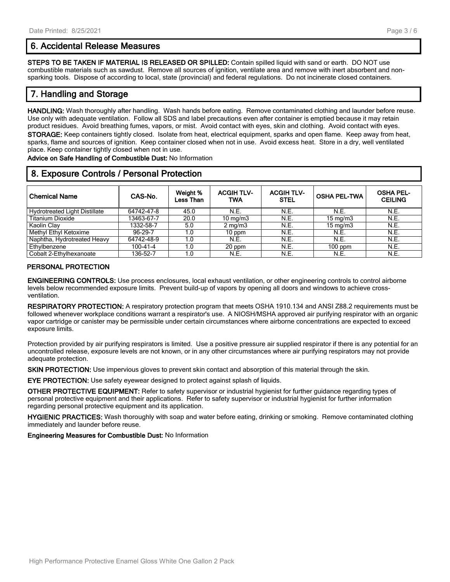## **6. Accidental Release Measures**

**STEPS TO BE TAKEN IF MATERIAL IS RELEASED OR SPILLED:** Contain spilled liquid with sand or earth. DO NOT use combustible materials such as sawdust. Remove all sources of ignition, ventilate area and remove with inert absorbent and nonsparking tools. Dispose of according to local, state (provincial) and federal regulations. Do not incinerate closed containers.

# **7. Handling and Storage**

**HANDLING:** Wash thoroughly after handling. Wash hands before eating. Remove contaminated clothing and launder before reuse. Use only with adequate ventilation. Follow all SDS and label precautions even after container is emptied because it may retain product residues. Avoid breathing fumes, vapors, or mist. Avoid contact with eyes, skin and clothing. Avoid contact with eyes. **STORAGE:** Keep containers tightly closed. Isolate from heat, electrical equipment, sparks and open flame. Keep away from heat, sparks, flame and sources of ignition. Keep container closed when not in use. Avoid excess heat. Store in a dry, well ventilated place. Keep container tightly closed when not in use.

**Advice on Safe Handling of Combustible Dust:** No Information

# **8. Exposure Controls / Personal Protection**

| <b>Chemical Name</b>                 | CAS-No.    | Weight %<br>Less Than | <b>ACGIH TLV-</b><br>TWA | <b>ACGIH TLV-</b><br><b>STEL</b> | <b>OSHA PEL-TWA</b> | <b>OSHA PEL-</b><br><b>CEILING</b> |
|--------------------------------------|------------|-----------------------|--------------------------|----------------------------------|---------------------|------------------------------------|
| <b>Hydrotreated Light Distillate</b> | 64742-47-8 | 45.0                  | N.E.                     | N.E.                             | N.E.                | N.E.                               |
| <b>Titanium Dioxide</b>              | 13463-67-7 | 20.0                  | $10 \text{ mg/m}$        | N.E.                             | $15 \text{ mg/m}$   | N.E.                               |
| Kaolin Clay                          | 1332-58-7  | 5.0                   | $2 \text{ mg/m}$         | N.E.                             | $15 \text{ mg/m}$   | N.E.                               |
| Methyl Ethyl Ketoxime                | 96-29-7    | 1.0                   | 10 ppm                   | N.E.                             | N.E.                | N.E.                               |
| Naphtha, Hydrotreated Heavy          | 64742-48-9 | 1.0                   | N.E.                     | N.E.                             | N.E.                | N.E.                               |
| Ethylbenzene                         | 100-41-4   | 1.0                   | 20 ppm                   | N.E.                             | $100$ ppm           | N.E.                               |
| Cobalt 2-Ethylhexanoate              | 136-52-7   | 1.0                   | N.E.                     | N.E.                             | N.E.                | N.E.                               |

#### **PERSONAL PROTECTION**

**ENGINEERING CONTROLS:** Use process enclosures, local exhaust ventilation, or other engineering controls to control airborne levels below recommended exposure limits. Prevent build-up of vapors by opening all doors and windows to achieve crossventilation.

**RESPIRATORY PROTECTION:** A respiratory protection program that meets OSHA 1910.134 and ANSI Z88.2 requirements must be followed whenever workplace conditions warrant a respirator's use. A NIOSH/MSHA approved air purifying respirator with an organic vapor cartridge or canister may be permissible under certain circumstances where airborne concentrations are expected to exceed exposure limits.

Protection provided by air purifying respirators is limited. Use a positive pressure air supplied respirator if there is any potential for an uncontrolled release, exposure levels are not known, or in any other circumstances where air purifying respirators may not provide adequate protection.

**SKIN PROTECTION:** Use impervious gloves to prevent skin contact and absorption of this material through the skin.

**EYE PROTECTION:** Use safety eyewear designed to protect against splash of liquids.

**OTHER PROTECTIVE EQUIPMENT:** Refer to safety supervisor or industrial hygienist for further guidance regarding types of personal protective equipment and their applications. Refer to safety supervisor or industrial hygienist for further information regarding personal protective equipment and its application.

**HYGIENIC PRACTICES:** Wash thoroughly with soap and water before eating, drinking or smoking. Remove contaminated clothing immediately and launder before reuse.

**Engineering Measures for Combustible Dust:** No Information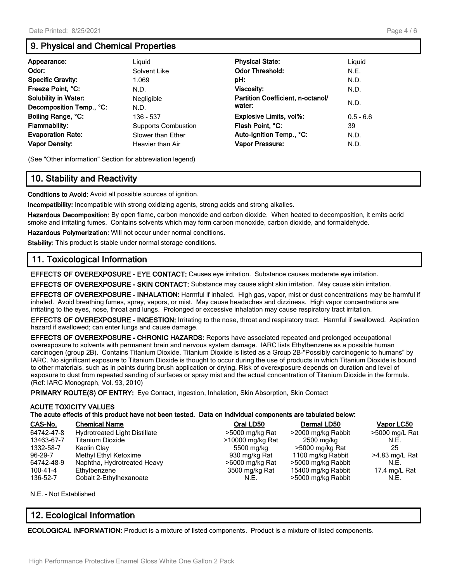# **9. Physical and Chemical Properties**

| Appearance:                 | Liguid                     | <b>Physical State:</b>            | Liguid      |
|-----------------------------|----------------------------|-----------------------------------|-------------|
| Odor:                       | Solvent Like               | <b>Odor Threshold:</b>            | N.E.        |
| <b>Specific Gravity:</b>    | 1.069                      | pH:                               | N.D.        |
| Freeze Point, °C:           | N.D.                       | Viscosity:                        | N.D.        |
| <b>Solubility in Water:</b> | Negligible                 | Partition Coefficient, n-octanol/ |             |
| Decomposition Temp., °C:    | N.D.                       | water:                            | N.D.        |
| Boiling Range, °C:          | 136 - 537                  | Explosive Limits, vol%:           | $0.5 - 6.6$ |
| Flammability:               | <b>Supports Combustion</b> | Flash Point, °C:                  | 39          |
| <b>Evaporation Rate:</b>    | Slower than Ether          | Auto-Ignition Temp., °C:          | N.D.        |
| <b>Vapor Density:</b>       | Heavier than Air           | Vapor Pressure:                   | N.D.        |

(See "Other information" Section for abbreviation legend)

# **10. Stability and Reactivity**

**Conditions to Avoid:** Avoid all possible sources of ignition.

**Incompatibility:** Incompatible with strong oxidizing agents, strong acids and strong alkalies.

**Hazardous Decomposition:** By open flame, carbon monoxide and carbon dioxide. When heated to decomposition, it emits acrid smoke and irritating fumes. Contains solvents which may form carbon monoxide, carbon dioxide, and formaldehyde.

**Hazardous Polymerization:** Will not occur under normal conditions.

**Stability:** This product is stable under normal storage conditions.

# **11. Toxicological Information**

**EFFECTS OF OVEREXPOSURE - EYE CONTACT:** Causes eye irritation. Substance causes moderate eye irritation.

**EFFECTS OF OVEREXPOSURE - SKIN CONTACT:** Substance may cause slight skin irritation. May cause skin irritation.

**EFFECTS OF OVEREXPOSURE - INHALATION:** Harmful if inhaled. High gas, vapor, mist or dust concentrations may be harmful if inhaled. Avoid breathing fumes, spray, vapors, or mist. May cause headaches and dizziness. High vapor concentrations are irritating to the eyes, nose, throat and lungs. Prolonged or excessive inhalation may cause respiratory tract irritation.

**EFFECTS OF OVEREXPOSURE - INGESTION:** Irritating to the nose, throat and respiratory tract. Harmful if swallowed. Aspiration hazard if swallowed; can enter lungs and cause damage.

**EFFECTS OF OVEREXPOSURE - CHRONIC HAZARDS:** Reports have associated repeated and prolonged occupational overexposure to solvents with permanent brain and nervous system damage. IARC lists Ethylbenzene as a possible human carcinogen (group 2B). Contains Titanium Dioxide. Titanium Dioxide is listed as a Group 2B-"Possibly carcinogenic to humans" by IARC. No significant exposure to Titanium Dioxide is thought to occur during the use of products in which Titanium Dioxide is bound to other materials, such as in paints during brush application or drying. Risk of overexposure depends on duration and level of exposure to dust from repeated sanding of surfaces or spray mist and the actual concentration of Titanium Dioxide in the formula. (Ref: IARC Monograph, Vol. 93, 2010)

**PRIMARY ROUTE(S) OF ENTRY:** Eye Contact, Ingestion, Inhalation, Skin Absorption, Skin Contact

#### **ACUTE TOXICITY VALUES**

|  | The acute effects of this product have not been tested. Data on individual components are tabulated below: |  |  |
|--|------------------------------------------------------------------------------------------------------------|--|--|
|--|------------------------------------------------------------------------------------------------------------|--|--|

| CAS-No.    | <b>Chemical Name</b>                 | Oral LD50        | Dermal LD50        | Vapor LC50     |
|------------|--------------------------------------|------------------|--------------------|----------------|
| 64742-47-8 | <b>Hydrotreated Light Distillate</b> | >5000 mg/kg Rat  | >2000 mg/kg Rabbit | >5000 mg/L Rat |
| 13463-67-7 | <b>Titanium Dioxide</b>              | >10000 mg/kg Rat | 2500 mg/kg         | N.E.           |
| 1332-58-7  | Kaolin Clay                          | 5500 mg/kg       | >5000 mg/kg Rat    | 25             |
| 96-29-7    | Methyl Ethyl Ketoxime                | 930 mg/kg Rat    | 1100 mg/kg Rabbit  | >4.83 mg/L Rat |
| 64742-48-9 | Naphtha, Hydrotreated Heavy          | >6000 mg/kg Rat  | >5000 mg/kg Rabbit | N.E.           |
| 100-41-4   | Ethylbenzene                         | 3500 mg/kg Rat   | 15400 mg/kg Rabbit | 17.4 mg/L Rat  |
| 136-52-7   | Cobalt 2-Ethylhexanoate              | N.E.             | >5000 mg/kg Rabbit | N.E.           |

N.E. - Not Established

## **12. Ecological Information**

**ECOLOGICAL INFORMATION:** Product is a mixture of listed components. Product is a mixture of listed components.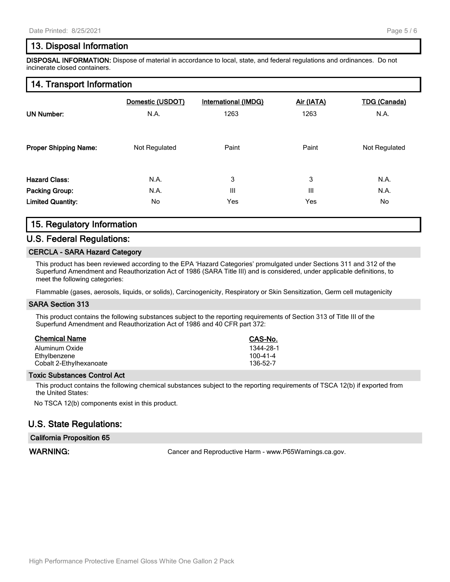# **13. Disposal Information**

**DISPOSAL INFORMATION:** Dispose of material in accordance to local, state, and federal regulations and ordinances. Do not incinerate closed containers.

# **14. Transport Information**

| <b>UN Number:</b>            | Domestic (USDOT) | International (IMDG) | Air (IATA) | <b>TDG (Canada)</b> |
|------------------------------|------------------|----------------------|------------|---------------------|
|                              | N.A.             | 1263                 | 1263       | N.A.                |
| <b>Proper Shipping Name:</b> | Not Regulated    | Paint                | Paint      | Not Regulated       |
| <b>Hazard Class:</b>         | N.A.             | 3                    | 3          | N.A.                |
| Packing Group:               | N.A.             | Ш                    | Ш          | N.A.                |
| <b>Limited Quantity:</b>     | No.              | Yes                  | Yes        | No                  |

# **15. Regulatory Information**

## **U.S. Federal Regulations:**

#### **CERCLA - SARA Hazard Category**

This product has been reviewed according to the EPA 'Hazard Categories' promulgated under Sections 311 and 312 of the Superfund Amendment and Reauthorization Act of 1986 (SARA Title III) and is considered, under applicable definitions, to meet the following categories:

Flammable (gases, aerosols, liquids, or solids), Carcinogenicity, Respiratory or Skin Sensitization, Germ cell mutagenicity

#### **SARA Section 313**

This product contains the following substances subject to the reporting requirements of Section 313 of Title III of the Superfund Amendment and Reauthorization Act of 1986 and 40 CFR part 372:

| <b>Chemical Name</b>    | CAS-No.        |
|-------------------------|----------------|
| Aluminum Oxide          | 1344-28-1      |
| Ethylbenzene            | $100 - 41 - 4$ |
| Cobalt 2-Ethylhexanoate | 136-52-7       |

#### **Toxic Substances Control Act**

This product contains the following chemical substances subject to the reporting requirements of TSCA 12(b) if exported from the United States:

No TSCA 12(b) components exist in this product.

## **U.S. State Regulations:**

#### **California Proposition 65**

WARNING: **WARNING:** Cancer and Reproductive Harm - www.P65Warnings.ca.gov.